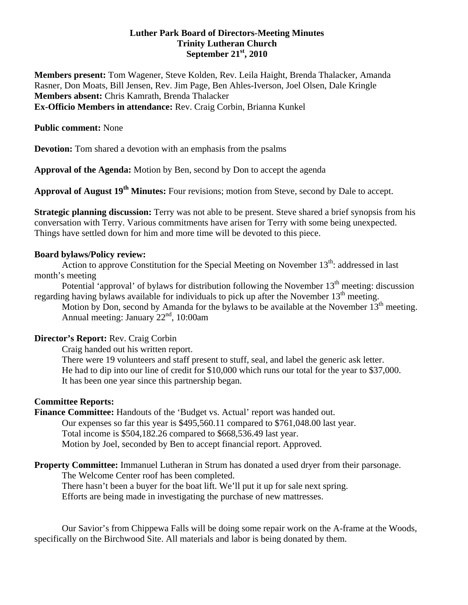# **Luther Park Board of Directors-Meeting Minutes Trinity Lutheran Church September 21st, 2010**

**Members present:** Tom Wagener, Steve Kolden, Rev. Leila Haight, Brenda Thalacker, Amanda Rasner, Don Moats, Bill Jensen, Rev. Jim Page, Ben Ahles-Iverson, Joel Olsen, Dale Kringle **Members absent:** Chris Kamrath, Brenda Thalacker **Ex-Officio Members in attendance:** Rev. Craig Corbin, Brianna Kunkel

## **Public comment:** None

**Devotion:** Tom shared a devotion with an emphasis from the psalms

**Approval of the Agenda:** Motion by Ben, second by Don to accept the agenda

**Approval of August 19th Minutes:** Four revisions; motion from Steve, second by Dale to accept.

**Strategic planning discussion:** Terry was not able to be present. Steve shared a brief synopsis from his conversation with Terry. Various commitments have arisen for Terry with some being unexpected. Things have settled down for him and more time will be devoted to this piece.

#### **Board bylaws/Policy review:**

Action to approve Constitution for the Special Meeting on November  $13<sup>th</sup>$ : addressed in last month's meeting

Potential 'approval' of bylaws for distribution following the November  $13<sup>th</sup>$  meeting: discussion regarding having bylaws available for individuals to pick up after the November 13<sup>th</sup> meeting.

Motion by Don, second by Amanda for the bylaws to be available at the November  $13<sup>th</sup>$  meeting. Annual meeting: January  $22<sup>nd</sup>$ , 10:00am

## **Director's Report:** Rev. Craig Corbin

 Craig handed out his written report. There were 19 volunteers and staff present to stuff, seal, and label the generic ask letter. He had to dip into our line of credit for \$10,000 which runs our total for the year to \$37,000. It has been one year since this partnership began.

## **Committee Reports:**

**Finance Committee:** Handouts of the 'Budget vs. Actual' report was handed out. Our expenses so far this year is \$495,560.11 compared to \$761,048.00 last year.

Total income is \$504,182.26 compared to \$668,536.49 last year.

Motion by Joel, seconded by Ben to accept financial report. Approved.

## **Property Committee:** Immanuel Lutheran in Strum has donated a used dryer from their parsonage.

The Welcome Center roof has been completed.

There hasn't been a buyer for the boat lift. We'll put it up for sale next spring.

Efforts are being made in investigating the purchase of new mattresses.

Our Savior's from Chippewa Falls will be doing some repair work on the A-frame at the Woods, specifically on the Birchwood Site. All materials and labor is being donated by them.